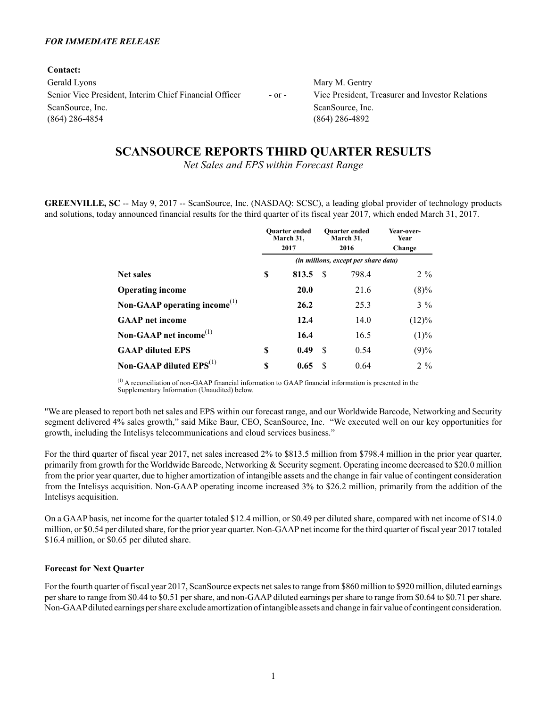#### *FOR IMMEDIATE RELEASE*

**Contact:** Gerald Lyons **Mary M. Gentry** Mary M. Gentry Senior Vice President, Interim Chief Financial Officer - or - Vice President, Treasurer and Investor Relations ScanSource, Inc. ScanSource, Inc. ScanSource, Inc. (864) 286-4854 (864) 286-4892

# **SCANSOURCE REPORTS THIRD QUARTER RESULTS**

*Net Sales and EPS within Forecast Range*

**GREENVILLE, SC** -- May 9, 2017 -- ScanSource, Inc. (NASDAQ: SCSC), a leading global provider of technology products and solutions, today announced financial results for the third quarter of its fiscal year 2017, which ended March 31, 2017.

|                                                 |                                      | <b>Ouarter ended</b><br>March 31,<br>2017 |     | <b>Ouarter</b> ended<br>March 31,<br>2016 | <b>Year-over-</b><br>Year<br>Change |  |  |  |  |
|-------------------------------------------------|--------------------------------------|-------------------------------------------|-----|-------------------------------------------|-------------------------------------|--|--|--|--|
|                                                 | (in millions, except per share data) |                                           |     |                                           |                                     |  |  |  |  |
| <b>Net sales</b>                                | S                                    | 813.5                                     | S   | 798.4                                     | $2\%$                               |  |  |  |  |
| <b>Operating income</b>                         |                                      | 20.0                                      |     | 21.6                                      | $(8)\%$                             |  |  |  |  |
| Non-GAAP operating income <sup>(1)</sup>        |                                      | 26.2                                      |     | 25.3                                      | $3\%$                               |  |  |  |  |
| <b>GAAP</b> net income                          |                                      | 12.4                                      |     | 14.0                                      | $(12)\%$                            |  |  |  |  |
| Non-GAAP net income <sup><math>(1)</math></sup> |                                      | 16.4                                      |     | 16.5                                      | (1)%                                |  |  |  |  |
| <b>GAAP</b> diluted EPS                         | S                                    | 0.49                                      | \$. | 0.54                                      | (9)%                                |  |  |  |  |
| Non-GAAP diluted $EPS^{(1)}$                    | S                                    | 0.65                                      |     | 0.64                                      | $2\%$                               |  |  |  |  |

 $<sup>(1)</sup>$  A reconciliation of non-GAAP financial information to GAAP financial information is presented in the Supplementary Information (Unaudited) below.</sup>

"We are pleased to report both net sales and EPS within our forecast range, and our Worldwide Barcode, Networking and Security segment delivered 4% sales growth," said Mike Baur, CEO, ScanSource, Inc. "We executed well on our key opportunities for growth, including the Intelisys telecommunications and cloud services business."

For the third quarter of fiscal year 2017, net sales increased 2% to \$813.5 million from \$798.4 million in the prior year quarter, primarily from growth for the Worldwide Barcode, Networking & Security segment. Operating income decreased to \$20.0 million from the prior year quarter, due to higher amortization of intangible assets and the change in fair value of contingent consideration from the Intelisys acquisition. Non-GAAP operating income increased 3% to \$26.2 million, primarily from the addition of the Intelisys acquisition.

On a GAAPbasis, net income for the quarter totaled \$12.4 million, or \$0.49 per diluted share, compared with net income of \$14.0 million, or \$0.54 per diluted share, for the prior year quarter. Non-GAAPnet income for the third quarter of fiscal year 2017 totaled \$16.4 million, or \$0.65 per diluted share.

#### **Forecast for Next Quarter**

For the fourth quarter of fiscal year 2017, ScanSource expects net sales to range from \$860 million to \$920 million, diluted earnings per share to range from \$0.44 to \$0.51 per share, and non-GAAPdiluted earnings per share to range from \$0.64 to \$0.71 per share. Non-GAAPdiluted earnings per share exclude amortization of intangible assets and change in fair value of contingent consideration.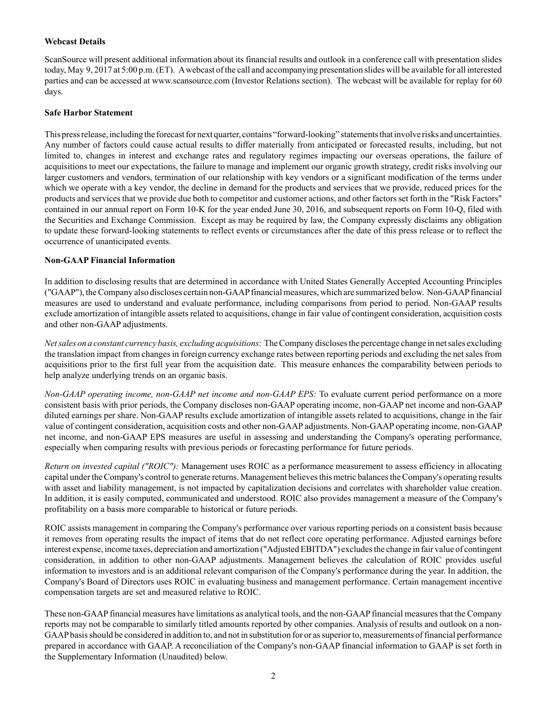### **Webcast Details**

ScanSource will present additional information about its financial results and outlook in a conference call with presentation slides today, May 9, 2017 at 5:00 p.m. (ET). Awebcast of the call and accompanying presentation slides will be available for all interested parties and can be accessed at www.scansource.com (Investor Relations section). The webcast will be available for replay for 60 days.

#### **Safe Harbor Statement**

This press release, including the forecast for next quarter, contains "forward-looking" statements that involve risks and uncertainties. Any number of factors could cause actual results to differ materially from anticipated or forecasted results, including, but not limited to, changes in interest and exchange rates and regulatory regimes impacting our overseas operations, the failure of acquisitions to meet our expectations, the failure to manage and implement our organic growth strategy, credit risks involving our larger customers and vendors, termination of our relationship with key vendors or a significant modification of the terms under which we operate with a key vendor, the decline in demand for the products and services that we provide, reduced prices for the products and services that we provide due both to competitor and customer actions, and other factors set forth in the "Risk Factors" contained in our annual report on Form 10-K for the year ended June 30, 2016, and subsequent reports on Form 10-Q, filed with the Securities and Exchange Commission. Except as may be required by law, the Company expressly disclaims any obligation to update these forward-looking statements to reflect events or circumstances after the date of this press release or to reflect the occurrence of unanticipated events.

#### **Non-GAAP Financial Information**

In addition to disclosing results that are determined in accordance with United States Generally Accepted Accounting Principles ("GAAP"), the Company also discloses certain non-GAAPfinancial measures, which are summarized below. Non-GAAPfinancial measures are used to understand and evaluate performance, including comparisons from period to period. Non-GAAP results exclude amortization of intangible assets related to acquisitions, change in fair value of contingent consideration, acquisition costs and other non-GAAP adjustments.

*Net sales on a constant currency basis, excluding acquisitions*: The Company discloses the percentage change in net sales excluding the translation impact from changes in foreign currency exchange rates between reporting periods and excluding the net sales from acquisitions prior to the first full year from the acquisition date. This measure enhances the comparability between periods to help analyze underlying trends on an organic basis.

*Non-GAAP operating income, non-GAAP net income and non-GAAP EPS:* To evaluate current period performance on a more consistent basis with prior periods, the Company discloses non-GAAP operating income, non-GAAP net income and non-GAAP diluted earnings per share. Non-GAAPresults exclude amortization of intangible assets related to acquisitions, change in the fair value of contingent consideration, acquisition costs and other non-GAAP adjustments. Non-GAAP operating income, non-GAAP net income, and non-GAAP EPS measures are useful in assessing and understanding the Company's operating performance, especially when comparing results with previous periods or forecasting performance for future periods.

*Return on invested capital ("ROIC"):* Management uses ROIC as a performance measurement to assess efficiency in allocating capital under the Company's control to generate returns. Management believes this metric balances the Company's operating results with asset and liability management, is not impacted by capitalization decisions and correlates with shareholder value creation. In addition, it is easily computed, communicated and understood. ROIC also provides management a measure of the Company's profitability on a basis more comparable to historical or future periods.

ROIC assists management in comparing the Company's performance over various reporting periods on a consistent basis because it removes from operating results the impact of items that do not reflect core operating performance. Adjusted earnings before interest expense, income taxes, depreciation and amortization ("Adjusted EBITDA") excludes the change in fair value of contingent consideration, in addition to other non-GAAP adjustments. Management believes the calculation of ROIC provides useful information to investors and is an additional relevant comparison of the Company's performance during the year. In addition, the Company's Board of Directors uses ROIC in evaluating business and management performance. Certain management incentive compensation targets are set and measured relative to ROIC.

These non-GAAPfinancial measures have limitations as analytical tools, and the non-GAAPfinancial measures that the Company reports may not be comparable to similarly titled amounts reported by other companies. Analysis of results and outlook on a non-GAAPbasis should be considered in addition to, and not in substitution for or as superior to, measurements of financial performance prepared in accordance with GAAP. A reconciliation of the Company's non-GAAP financial information to GAAP is set forth in the Supplementary Information (Unaudited) below.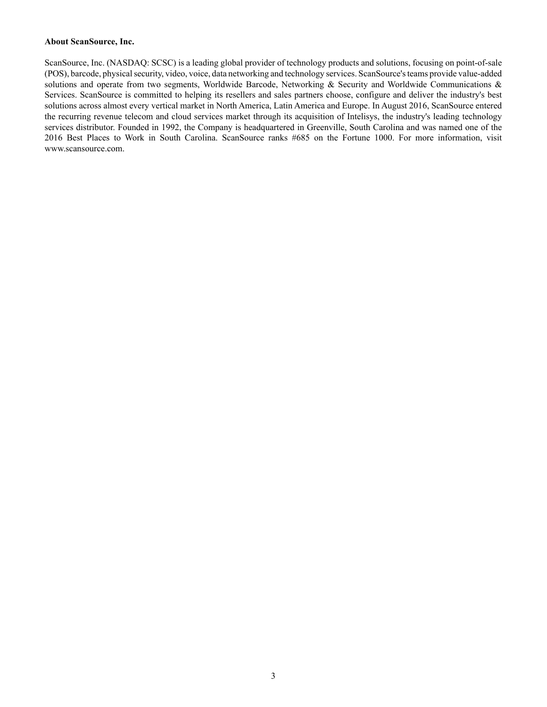#### **About ScanSource, Inc.**

ScanSource, Inc. (NASDAQ: SCSC) is a leading global provider of technology products and solutions, focusing on point-of-sale (POS), barcode, physical security, video, voice, data networking and technology services. ScanSource's teams provide value-added solutions and operate from two segments, Worldwide Barcode, Networking & Security and Worldwide Communications & Services. ScanSource is committed to helping its resellers and sales partners choose, configure and deliver the industry's best solutions across almost every vertical market in North America, Latin America and Europe. In August 2016, ScanSource entered the recurring revenue telecom and cloud services market through its acquisition of Intelisys, the industry's leading technology services distributor. Founded in 1992, the Company is headquartered in Greenville, South Carolina and was named one of the 2016 Best Places to Work in South Carolina. ScanSource ranks #685 on the Fortune 1000. For more information, visit www.scansource.com.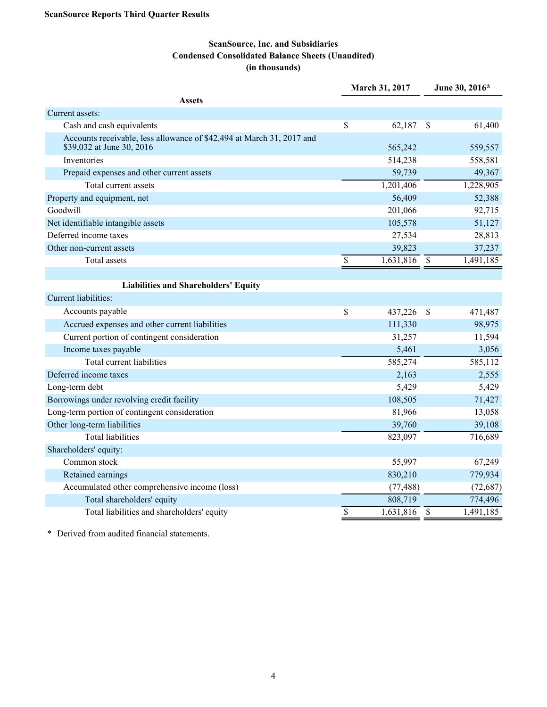# **ScanSource, Inc. and Subsidiaries Condensed Consolidated Balance Sheets (Unaudited) (in thousands)**

|                                                                                                    |                 | March 31, 2017 | June 30, 2016*            |           |  |  |
|----------------------------------------------------------------------------------------------------|-----------------|----------------|---------------------------|-----------|--|--|
| <b>Assets</b>                                                                                      |                 |                |                           |           |  |  |
| Current assets:                                                                                    |                 |                |                           |           |  |  |
| Cash and cash equivalents                                                                          | \$              | 62,187         | $\mathcal{S}$             | 61,400    |  |  |
| Accounts receivable, less allowance of \$42,494 at March 31, 2017 and<br>\$39,032 at June 30, 2016 |                 | 565,242        |                           | 559,557   |  |  |
| Inventories                                                                                        |                 | 514,238        |                           | 558,581   |  |  |
| Prepaid expenses and other current assets                                                          |                 | 59,739         |                           | 49,367    |  |  |
| Total current assets                                                                               |                 | 1,201,406      |                           | 1,228,905 |  |  |
| Property and equipment, net                                                                        |                 | 56,409         |                           | 52,388    |  |  |
| Goodwill                                                                                           |                 | 201,066        |                           | 92,715    |  |  |
| Net identifiable intangible assets                                                                 |                 | 105,578        |                           | 51,127    |  |  |
| Deferred income taxes                                                                              |                 | 27,534         |                           | 28,813    |  |  |
| Other non-current assets                                                                           |                 | 39,823         |                           | 37,237    |  |  |
| <b>Total assets</b>                                                                                | \$              | 1,631,816      | $\boldsymbol{\mathsf{S}}$ | 1,491,185 |  |  |
|                                                                                                    |                 |                |                           |           |  |  |
| <b>Liabilities and Shareholders' Equity</b>                                                        |                 |                |                           |           |  |  |
| Current liabilities:                                                                               |                 |                |                           |           |  |  |
| Accounts payable                                                                                   | \$              | 437,226        | $\mathcal{S}$             | 471,487   |  |  |
| Accrued expenses and other current liabilities                                                     |                 | 111,330        |                           | 98,975    |  |  |
| Current portion of contingent consideration                                                        |                 | 31,257         |                           | 11,594    |  |  |
| Income taxes payable                                                                               |                 | 5,461          |                           | 3,056     |  |  |
| Total current liabilities                                                                          |                 | 585,274        |                           | 585,112   |  |  |
| Deferred income taxes                                                                              |                 | 2,163          |                           | 2,555     |  |  |
| Long-term debt                                                                                     |                 | 5,429          |                           | 5,429     |  |  |
| Borrowings under revolving credit facility                                                         |                 | 108,505        |                           | 71,427    |  |  |
| Long-term portion of contingent consideration                                                      |                 | 81,966         |                           | 13,058    |  |  |
| Other long-term liabilities                                                                        |                 | 39,760         |                           | 39,108    |  |  |
| <b>Total liabilities</b>                                                                           |                 | 823,097        |                           | 716,689   |  |  |
| Shareholders' equity:                                                                              |                 |                |                           |           |  |  |
| Common stock                                                                                       |                 | 55,997         |                           | 67,249    |  |  |
| Retained earnings                                                                                  |                 | 830,210        |                           | 779,934   |  |  |
| Accumulated other comprehensive income (loss)                                                      |                 | (77, 488)      |                           | (72, 687) |  |  |
| Total shareholders' equity                                                                         |                 | 808,719        |                           | 774,496   |  |  |
| Total liabilities and shareholders' equity                                                         | $\overline{\$}$ | 1,631,816      | $\overline{\mathcal{S}}$  | 1,491,185 |  |  |

\* Derived from audited financial statements.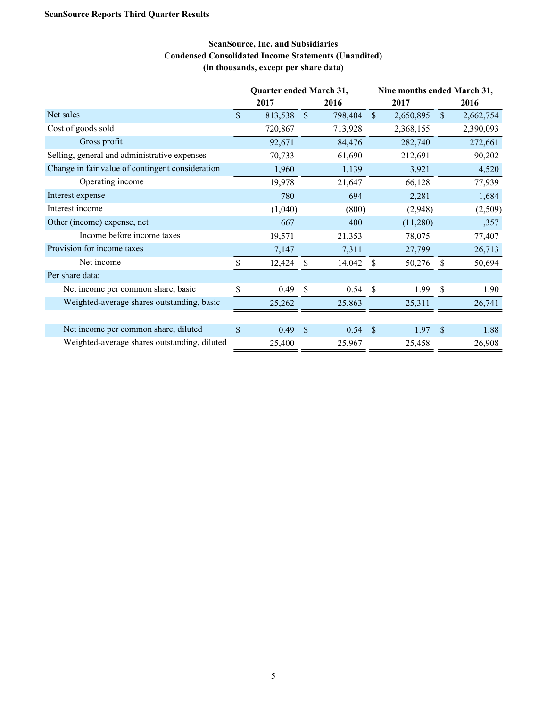## **ScanSource, Inc. and Subsidiaries Condensed Consolidated Income Statements (Unaudited) (in thousands, except per share data)**

|                                                  | Quarter ended March 31, |         |               |         |              | Nine months ended March 31, |               |           |  |
|--------------------------------------------------|-------------------------|---------|---------------|---------|--------------|-----------------------------|---------------|-----------|--|
|                                                  |                         | 2017    |               | 2016    |              | 2017                        |               | 2016      |  |
| Net sales                                        | $\mathcal{S}$           | 813,538 | $\mathbb{S}$  | 798,404 | $\mathbb{S}$ | 2,650,895                   | S             | 2,662,754 |  |
| Cost of goods sold                               |                         | 720,867 |               | 713,928 |              | 2,368,155                   |               | 2,390,093 |  |
| Gross profit                                     |                         | 92,671  |               | 84,476  |              | 282,740                     |               | 272,661   |  |
| Selling, general and administrative expenses     |                         | 70,733  |               | 61,690  |              | 212,691                     |               | 190,202   |  |
| Change in fair value of contingent consideration |                         | 1,960   |               | 1,139   |              | 3,921                       |               | 4,520     |  |
| Operating income                                 |                         | 19,978  |               | 21,647  |              | 66,128                      |               | 77,939    |  |
| Interest expense                                 |                         | 780     |               | 694     |              | 2,281                       |               | 1,684     |  |
| Interest income                                  |                         | (1,040) |               | (800)   |              | (2,948)                     |               | (2,509)   |  |
| Other (income) expense, net                      |                         | 667     |               | 400     |              | (11,280)                    |               | 1,357     |  |
| Income before income taxes                       |                         | 19,571  |               | 21,353  |              | 78,075                      |               | 77,407    |  |
| Provision for income taxes                       |                         | 7,147   |               | 7,311   |              | 27,799                      |               | 26,713    |  |
| Net income                                       | \$                      | 12,424  | <sup>\$</sup> | 14,042  | -S           | 50,276                      | S             | 50,694    |  |
| Per share data:                                  |                         |         |               |         |              |                             |               |           |  |
| Net income per common share, basic               | \$                      | 0.49    | <sup>\$</sup> | 0.54    | -S           | 1.99                        | S             | 1.90      |  |
| Weighted-average shares outstanding, basic       |                         | 25,262  |               | 25,863  |              | 25,311                      |               | 26,741    |  |
|                                                  |                         |         |               |         |              |                             |               |           |  |
| Net income per common share, diluted             | \$                      | 0.49    | $\sqrt{3}$    | 0.54    | - \$         | 1.97                        | $\mathcal{S}$ | 1.88      |  |
| Weighted-average shares outstanding, diluted     |                         | 25,400  |               | 25,967  |              | 25,458                      |               | 26,908    |  |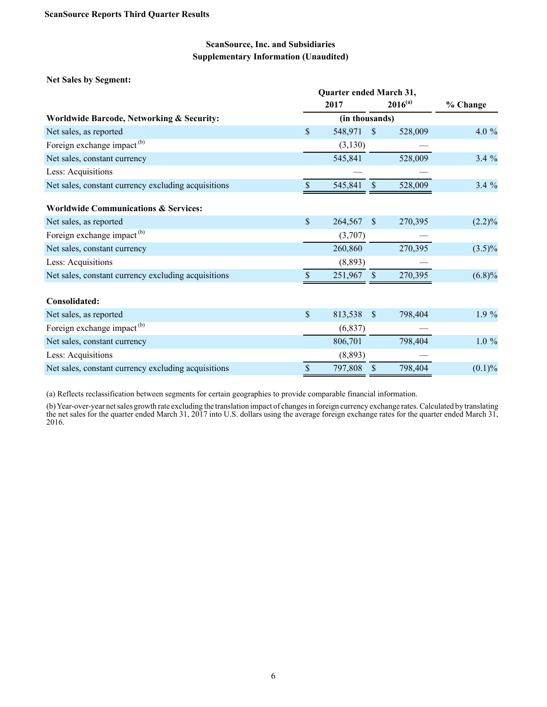**Net Sales by Segment:**

|                                                     |               | Quarter ended March 31, |                           |              |           |  |  |  |
|-----------------------------------------------------|---------------|-------------------------|---------------------------|--------------|-----------|--|--|--|
|                                                     |               | 2017                    |                           | $2016^{(a)}$ | % Change  |  |  |  |
| Worldwide Barcode, Networking & Security:           |               | (in thousands)          |                           |              |           |  |  |  |
| Net sales, as reported                              | $\mathbb{S}$  | 548,971                 | $\mathcal{S}$             | 528,009      | 4.0 %     |  |  |  |
| Foreign exchange impact <sup>(b)</sup>              |               | (3,130)                 |                           |              |           |  |  |  |
| Net sales, constant currency                        |               | 545,841                 |                           | 528,009      | $3.4\%$   |  |  |  |
| Less: Acquisitions                                  |               |                         |                           |              |           |  |  |  |
| Net sales, constant currency excluding acquisitions |               | 545,841                 | $\boldsymbol{\mathsf{S}}$ | 528,009      | $3.4\%$   |  |  |  |
| <b>Worldwide Communications &amp; Services:</b>     |               |                         |                           |              |           |  |  |  |
| Net sales, as reported                              | $\mathsf{\$}$ | 264,567                 | \$                        | 270,395      | $(2.2)\%$ |  |  |  |
| Foreign exchange impact <sup>(b)</sup>              |               | (3,707)                 |                           |              |           |  |  |  |
| Net sales, constant currency                        |               | 260,860                 |                           | 270,395      | $(3.5)\%$ |  |  |  |
| Less: Acquisitions                                  |               | (8,893)                 |                           |              |           |  |  |  |
| Net sales, constant currency excluding acquisitions |               | 251,967                 | \$                        | 270,395      | $(6.8)\%$ |  |  |  |
| Consolidated:                                       |               |                         |                           |              |           |  |  |  |
| Net sales, as reported                              | \$            | 813,538                 | \$                        | 798,404      | 1.9 %     |  |  |  |
| Foreign exchange impact <sup>(b)</sup>              |               | (6, 837)                |                           |              |           |  |  |  |
| Net sales, constant currency                        |               | 806,701                 |                           | 798,404      | $1.0\%$   |  |  |  |
| Less: Acquisitions                                  |               | (8,893)                 |                           |              |           |  |  |  |
| Net sales, constant currency excluding acquisitions | \$            | 797,808                 | \$                        | 798,404      | (0.1)%    |  |  |  |

(a) Reflects reclassification between segments for certain geographies to provide comparable financial information.

(b) Year-over-year net sales growth rate excluding the translation impact of changes in foreign currency exchange rates. Calculated by translating the net sales for the quarter ended March 31, 2017 into U.S. dollars using the average foreign exchange rates for the quarter ended March 31, 2016.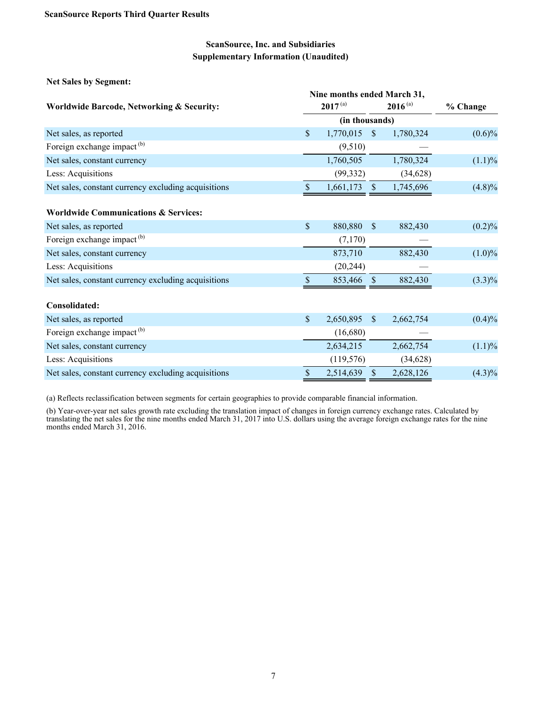| <b>Net Sales by Segment:</b>                        |               |                             |                           |              |           |
|-----------------------------------------------------|---------------|-----------------------------|---------------------------|--------------|-----------|
|                                                     |               | Nine months ended March 31, |                           |              |           |
| Worldwide Barcode, Networking & Security:           |               | $2017^{(a)}$                |                           | $2016^{(a)}$ | % Change  |
|                                                     |               | (in thousands)              |                           |              |           |
| Net sales, as reported                              | $\mathbb{S}$  | 1,770,015                   | $\mathbf{\hat{S}}$        | 1,780,324    | $(0.6)\%$ |
| Foreign exchange impact <sup>(b)</sup>              |               | (9,510)                     |                           |              |           |
| Net sales, constant currency                        |               | 1,760,505                   |                           | 1,780,324    | (1.1)%    |
| Less: Acquisitions                                  |               | (99, 332)                   |                           | (34, 628)    |           |
| Net sales, constant currency excluding acquisitions | \$.           | 1,661,173                   | $\mathcal{S}$             | 1,745,696    | (4.8)%    |
| <b>Worldwide Communications &amp; Services:</b>     |               |                             |                           |              |           |
| Net sales, as reported                              | $\mathsf{\$}$ | 880,880                     | $\boldsymbol{\mathsf{S}}$ | 882,430      | (0.2)%    |
| Foreign exchange impact <sup>(b)</sup>              |               | (7,170)                     |                           |              |           |
| Net sales, constant currency                        |               | 873,710                     |                           | 882,430      | $(1.0)\%$ |
| Less: Acquisitions                                  |               | (20, 244)                   |                           |              |           |
| Net sales, constant currency excluding acquisitions | S             | 853,466                     | S                         | 882,430      | $(3.3)\%$ |
| Consolidated:                                       |               |                             |                           |              |           |
| Net sales, as reported                              | $\mathsf{\$}$ | 2,650,895                   | $\mathbf{\$}$             | 2,662,754    | (0.4)%    |
| Foreign exchange impact <sup>(b)</sup>              |               | (16,680)                    |                           |              |           |
| Net sales, constant currency                        |               | 2,634,215                   |                           | 2,662,754    | (1.1)%    |
| Less: Acquisitions                                  |               | (119, 576)                  |                           | (34, 628)    |           |
| Net sales, constant currency excluding acquisitions | \$            | 2,514,639                   | \$                        | 2,628,126    | $(4.3)\%$ |

(a) Reflects reclassification between segments for certain geographies to provide comparable financial information.

(b) Year-over-year net sales growth rate excluding the translation impact of changes in foreign currency exchange rates. Calculated by translating the net sales for the nine months ended March 31, 2017 into U.S. dollars using the average foreign exchange rates for the nine months ended March 31, 2016.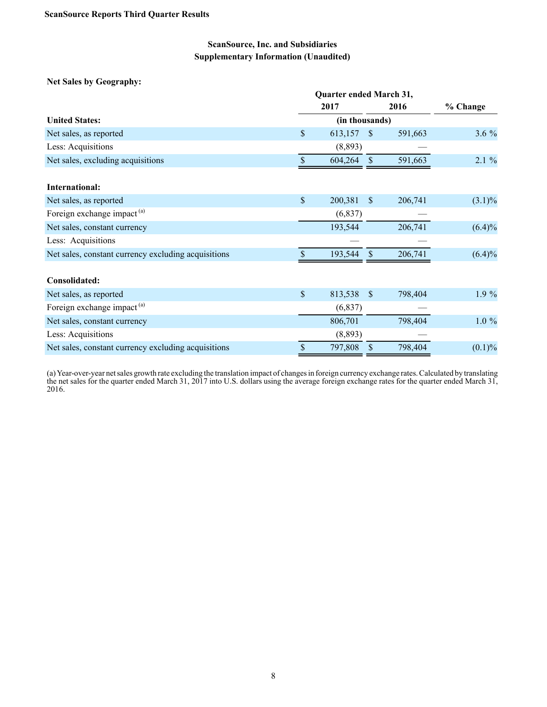**Net Sales by Geography:**

|                                                     |             | Quarter ended March 31, |               |         |           |  |  |  |
|-----------------------------------------------------|-------------|-------------------------|---------------|---------|-----------|--|--|--|
|                                                     |             | 2017                    |               | 2016    | % Change  |  |  |  |
| <b>United States:</b>                               |             | (in thousands)          |               |         |           |  |  |  |
| Net sales, as reported                              | \$          | 613,157                 | <sup>\$</sup> | 591,663 | $3.6\%$   |  |  |  |
| Less: Acquisitions                                  |             | (8,893)                 |               |         |           |  |  |  |
| Net sales, excluding acquisitions                   | $\sqrt{\ }$ | 604,264                 | $\mathbb{S}$  | 591,663 | $2.1 \%$  |  |  |  |
| International:                                      |             |                         |               |         |           |  |  |  |
| Net sales, as reported                              | \$          | 200,381                 | $\mathbb{S}$  | 206,741 | $(3.1)\%$ |  |  |  |
| Foreign exchange impact <sup>(a)</sup>              |             | (6,837)                 |               |         |           |  |  |  |
| Net sales, constant currency                        |             | 193,544                 |               | 206,741 | $(6.4)\%$ |  |  |  |
| Less: Acquisitions                                  |             |                         |               |         |           |  |  |  |
| Net sales, constant currency excluding acquisitions |             | 193,544                 | <sup>\$</sup> | 206,741 | $(6.4)\%$ |  |  |  |
| Consolidated:                                       |             |                         |               |         |           |  |  |  |
| Net sales, as reported                              | \$          | 813,538                 | $\mathbb{S}$  | 798,404 | 1.9 %     |  |  |  |
| Foreign exchange impact <sup>(a)</sup>              |             | (6, 837)                |               |         |           |  |  |  |
| Net sales, constant currency                        |             | 806,701                 |               | 798,404 | $1.0 \%$  |  |  |  |
| Less: Acquisitions                                  |             | (8,893)                 |               |         |           |  |  |  |
| Net sales, constant currency excluding acquisitions | \$          | 797,808                 | <sup>S</sup>  | 798,404 | (0.1)%    |  |  |  |

(a) Year-over-year net sales growth rate excluding the translation impact of changes in foreign currency exchange rates. Calculated by translating the net sales for the quarter ended March 31, 2017 into U.S. dollars using the average foreign exchange rates for the quarter ended March 31, 2016.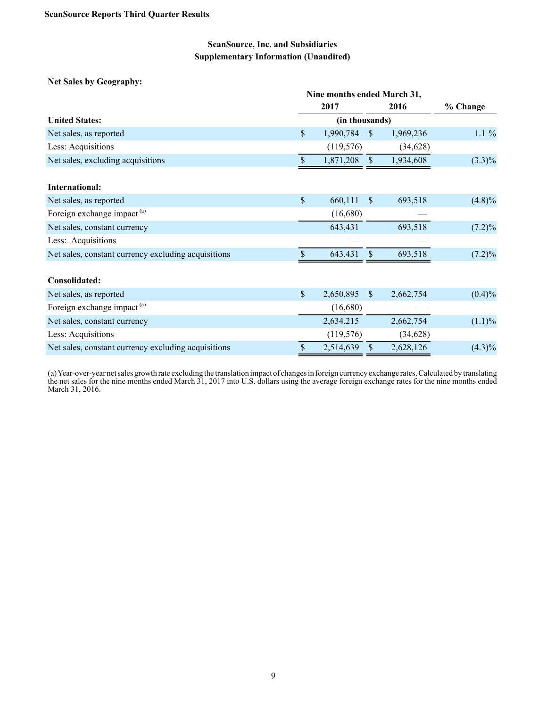**Net Sales by Geography:**

|                                                     | Nine months ended March 31, |                |               |           |           |
|-----------------------------------------------------|-----------------------------|----------------|---------------|-----------|-----------|
|                                                     | 2017                        |                |               | 2016      | % Change  |
| <b>United States:</b>                               |                             | (in thousands) |               |           |           |
| Net sales, as reported                              | \$                          | 1,990,784      | <sup>S</sup>  | 1,969,236 | $1.1\%$   |
| Less: Acquisitions                                  |                             | (119, 576)     |               | (34, 628) |           |
| Net sales, excluding acquisitions                   | $\boldsymbol{\mathsf{S}}$   | 1,871,208      | $\sqrt{S}$    | 1,934,608 | $(3.3)\%$ |
| <b>International:</b>                               |                             |                |               |           |           |
| Net sales, as reported                              | \$                          | 660,111        | <sup>\$</sup> | 693,518   | $(4.8)\%$ |
| Foreign exchange impact <sup>(a)</sup>              |                             | (16,680)       |               |           |           |
| Net sales, constant currency                        |                             | 643,431        |               | 693,518   | $(7.2)\%$ |
| Less: Acquisitions                                  |                             |                |               |           |           |
| Net sales, constant currency excluding acquisitions | S                           | 643,431        | <sup>\$</sup> | 693,518   | $(7.2)\%$ |
| Consolidated:                                       |                             |                |               |           |           |
| Net sales, as reported                              | \$                          | 2,650,895      | <sup>S</sup>  | 2,662,754 | $(0.4)\%$ |
| Foreign exchange impact <sup>(a)</sup>              |                             | (16,680)       |               |           |           |
| Net sales, constant currency                        |                             | 2,634,215      |               | 2,662,754 | $(1.1)\%$ |
| Less: Acquisitions                                  |                             | (119, 576)     |               | (34, 628) |           |
| Net sales, constant currency excluding acquisitions | \$                          | 2,514,639      | $\mathbb{S}$  | 2,628,126 | $(4.3)\%$ |

(a) Year-over-year net sales growth rate excluding the translation impact of changes in foreign currency exchange rates. Calculated by translating the net sales for the nine months ended March 31, 2017 into U.S. dollars using the average foreign exchange rates for the nine months ended March 31, 2016.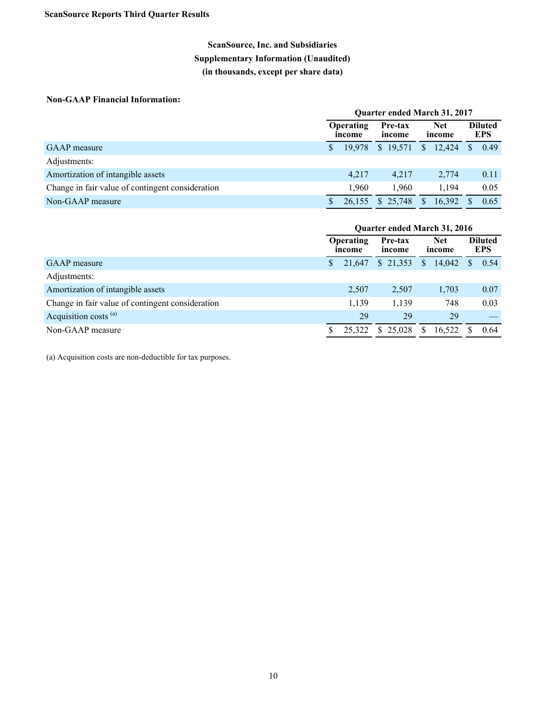# **ScanSource, Inc. and Subsidiaries Supplementary Information (Unaudited) (in thousands, except per share data)**

### **Non-GAAP Financial Information:**

|                                                  | <b>Quarter ended March 31, 2017</b> |                   |                      |        |  |                              |  |  |  |
|--------------------------------------------------|-------------------------------------|-------------------|----------------------|--------|--|------------------------------|--|--|--|
|                                                  | Operating<br>income                 | Pre-tax<br>income | <b>Net</b><br>income |        |  | <b>Diluted</b><br><b>EPS</b> |  |  |  |
| <b>GAAP</b> measure                              | 19.978                              | \$19,571          | <sup>S</sup>         | 12.424 |  | 0.49                         |  |  |  |
| Adjustments:                                     |                                     |                   |                      |        |  |                              |  |  |  |
| Amortization of intangible assets                | 4,217                               | 4.217             |                      | 2,774  |  | 0.11                         |  |  |  |
| Change in fair value of contingent consideration | 1.960                               | 1.960             |                      | 1.194  |  | 0.05                         |  |  |  |
| Non-GAAP measure                                 | 26,155                              | \$25,748          | $\mathbb{S}$         | 16,392 |  | 0.65                         |  |  |  |

|                                                  | <b>Ouarter ended March 31, 2016</b>             |        |                      |              |        |                              |      |  |  |
|--------------------------------------------------|-------------------------------------------------|--------|----------------------|--------------|--------|------------------------------|------|--|--|
|                                                  | <b>Operating</b><br>Pre-tax<br>income<br>income |        | <b>Net</b><br>income |              |        | <b>Diluted</b><br><b>EPS</b> |      |  |  |
| GAAP measure                                     |                                                 | 21.647 | \$21,353             | <sup>S</sup> | 14,042 |                              | 0.54 |  |  |
| Adjustments:                                     |                                                 |        |                      |              |        |                              |      |  |  |
| Amortization of intangible assets                |                                                 | 2,507  | 2,507                |              | 1,703  |                              | 0.07 |  |  |
| Change in fair value of contingent consideration |                                                 | 1,139  | 1,139                |              | 748    |                              | 0.03 |  |  |
| Acquisition costs <sup>(a)</sup>                 |                                                 | 29     | 29                   |              | 29     |                              |      |  |  |
| Non-GAAP measure                                 |                                                 | 25.322 | \$25.028             | S            | 16.522 |                              | 0.64 |  |  |

(a) Acquisition costs are non-deductible for tax purposes.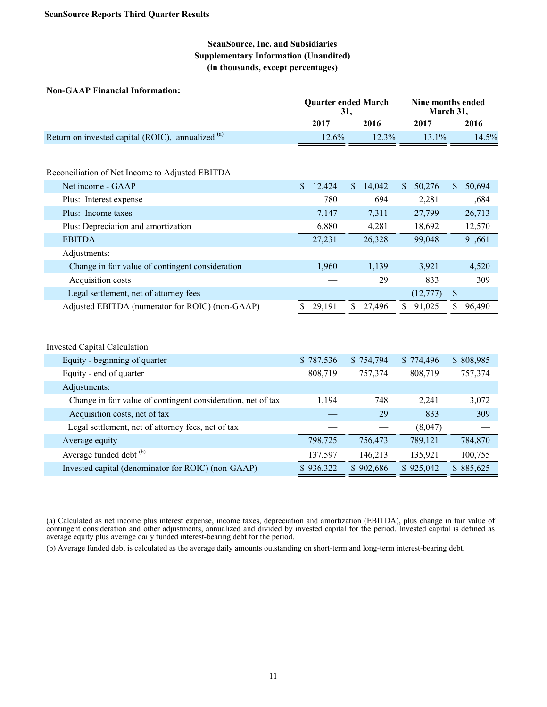### **ScanSource, Inc. and Subsidiaries Supplementary Information (Unaudited) (in thousands, except percentages)**

#### **Non-GAAP Financial Information:**

|                                                              |              | <b>Quarter ended March</b><br>31, |                        | Nine months ended<br>March 31, |
|--------------------------------------------------------------|--------------|-----------------------------------|------------------------|--------------------------------|
|                                                              | 2017         | 2016                              | 2017                   | 2016                           |
| Return on invested capital (ROIC), annualized (a)            | 12.6%        | 12.3%                             | 13.1%                  | 14.5%                          |
|                                                              |              |                                   |                        |                                |
| Reconciliation of Net Income to Adjusted EBITDA              |              |                                   |                        |                                |
| Net income - GAAP                                            | \$<br>12,424 | 14,042<br>$\mathbb{S}$            | 50,276<br>$\mathbb{S}$ | 50,694<br>S.                   |
| Plus: Interest expense                                       | 780          | 694                               | 2,281                  | 1,684                          |
| Plus: Income taxes                                           | 7,147        | 7,311                             | 27,799                 | 26,713                         |
| Plus: Depreciation and amortization                          | 6,880        | 4,281                             | 18,692                 | 12,570                         |
| <b>EBITDA</b>                                                | 27,231       | 26,328                            | 99,048                 | 91,661                         |
| Adjustments:                                                 |              |                                   |                        |                                |
| Change in fair value of contingent consideration             | 1,960        | 1,139                             | 3,921                  | 4,520                          |
| Acquisition costs                                            |              | 29                                | 833                    | 309                            |
| Legal settlement, net of attorney fees                       |              |                                   | (12, 777)              | $\mathbb{S}$                   |
| Adjusted EBITDA (numerator for ROIC) (non-GAAP)              | 29,191<br>\$ | \$27,496                          | $\mathbb{S}$<br>91,025 | 96,490<br><sup>S</sup>         |
|                                                              |              |                                   |                        |                                |
| <b>Invested Capital Calculation</b>                          |              |                                   |                        |                                |
| Equity - beginning of quarter                                | \$787,536    | \$754,794                         | \$774,496              | \$808,985                      |
| Equity - end of quarter                                      | 808,719      | 757,374                           | 808,719                | 757,374                        |
| Adjustments:                                                 |              |                                   |                        |                                |
| Change in fair value of contingent consideration, net of tax | 1,194        | 748                               | 2,241                  | 3,072                          |
| Acquisition costs, net of tax                                |              | 29                                | 833                    | 309                            |
| Legal settlement, net of attorney fees, net of tax           |              |                                   | (8,047)                |                                |
| Average equity                                               | 798,725      | 756,473                           | 789,121                | 784,870                        |
| Average funded debt (b)                                      | 137,597      | 146,213                           | 135,921                | 100,755                        |
| Invested capital (denominator for ROIC) (non-GAAP)           | \$936,322    | \$902,686                         | \$925,042              | \$885,625                      |

(a) Calculated as net income plus interest expense, income taxes, depreciation and amortization (EBITDA), plus change in fair value of contingent consideration and other adjustments, annualized and divided by invested capital for the period. Invested capital is defined as average equity plus average daily funded interest-bearing debt for the period.

(b) Average funded debt is calculated as the average daily amounts outstanding on short-term and long-term interest-bearing debt.